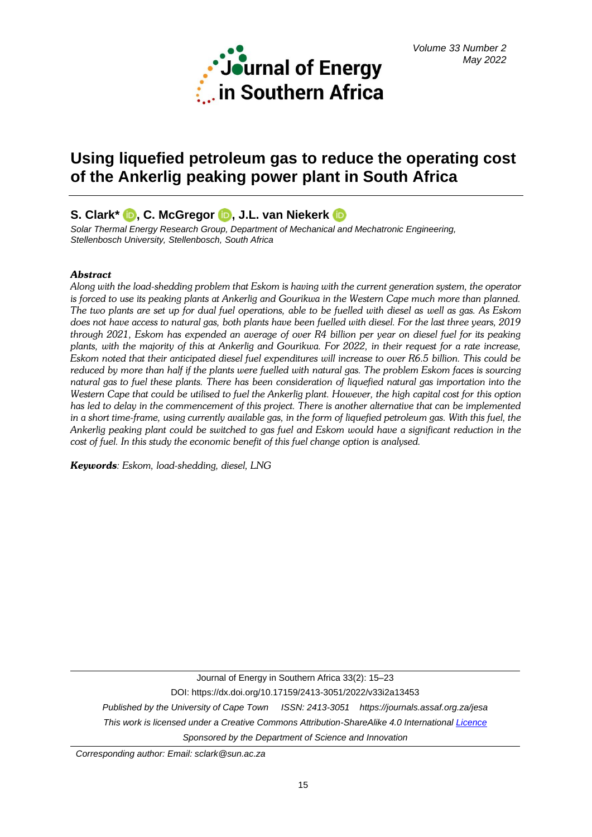

# **Using liquefied petroleum gas to reduce the operating cost of the Ankerlig peaking power plant in South Africa**

# **S. Clark\* [,](https://orcid.org/0000-0003-0803-9957) C. McGregor, J.L. van Niekerk**

*Solar Thermal Energy Research Group, Department of Mechanical and Mechatronic Engineering, Stellenbosch University, Stellenbosch, South Africa*

# *Abstract*

*Along with the load-shedding problem that Eskom is having with the current generation system, the operator is forced to use its peaking plants at Ankerlig and Gourikwa in the Western Cape much more than planned. The two plants are set up for dual fuel operations, able to be fuelled with diesel as well as gas. As Eskom does not have access to natural gas, both plants have been fuelled with diesel. For the last three years, 2019 through 2021, Eskom has expended an average of over R4 billion per year on diesel fuel for its peaking plants, with the majority of this at Ankerlig and Gourikwa. For 2022, in their request for a rate increase, Eskom noted that their anticipated diesel fuel expenditures will increase to over R6.5 billion. This could be reduced by more than half if the plants were fuelled with natural gas. The problem Eskom faces is sourcing natural gas to fuel these plants. There has been consideration of liquefied natural gas importation into the Western Cape that could be utilised to fuel the Ankerlig plant. However, the high capital cost for this option has led to delay in the commencement of this project. There is another alternative that can be implemented in a short time-frame, using currently available gas, in the form of liquefied petroleum gas. With this fuel, the Ankerlig peaking plant could be switched to gas fuel and Eskom would have a significant reduction in the cost of fuel. In this study the economic benefit of this fuel change option is analysed.*

*Keywords: Eskom, load-shedding, diesel, LNG*

Journal of Energy in Southern Africa 33(2): 15–23 DOI: https://dx.doi.org/10.17159/2413-3051/2022/v33i2a13453 *Published by the University of Cape Town ISSN: 2413-3051 https://journals.assaf.org.za/jesa This work is licensed under a Creative Commons Attribution-ShareAlike 4.0 Internationa[l Licence](https://creativecommons.org/licenses/by-sa/4.0/) Sponsored by the Department of Science and Innovation*

*Corresponding author: Email: sclark@sun.ac.za*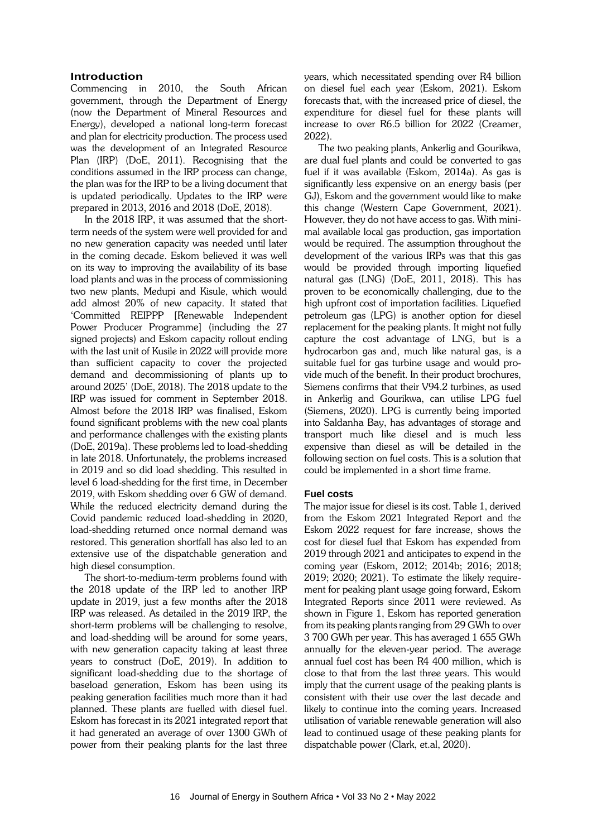# **Introduction**

Commencing in 2010, the South African government, through the Department of Energy (now the Department of Mineral Resources and Energy), developed a national long-term forecast and plan for electricity production. The process used was the development of an Integrated Resource Plan (IRP) (DoE, 2011). Recognising that the conditions assumed in the IRP process can change, the plan was for the IRP to be a living document that is updated periodically. Updates to the IRP were prepared in 2013, 2016 and 2018 (DoE, 2018).

In the 2018 IRP, it was assumed that the shortterm needs of the system were well provided for and no new generation capacity was needed until later in the coming decade. Eskom believed it was well on its way to improving the availability of its base load plants and was in the process of commissioning two new plants, Medupi and Kisule, which would add almost 20% of new capacity. It stated that 'Committed REIPPP [Renewable Independent Power Producer Programme] (including the 27 signed projects) and Eskom capacity rollout ending with the last unit of Kusile in 2022 will provide more than sufficient capacity to cover the projected demand and decommissioning of plants up to around 2025' (DoE, 2018). The 2018 update to the IRP was issued for comment in September 2018. Almost before the 2018 IRP was finalised, Eskom found significant problems with the new coal plants and performance challenges with the existing plants (DoE, 2019a). These problems led to load-shedding in late 2018. Unfortunately, the problems increased in 2019 and so did load shedding. This resulted in level 6 load-shedding for the first time, in December 2019, with Eskom shedding over 6 GW of demand. While the reduced electricity demand during the Covid pandemic reduced load-shedding in 2020, load-shedding returned once normal demand was restored. This generation shortfall has also led to an extensive use of the dispatchable generation and high diesel consumption.

The short-to-medium-term problems found with the 2018 update of the IRP led to another IRP update in 2019, just a few months after the 2018 IRP was released. As detailed in the 2019 IRP, the short-term problems will be challenging to resolve, and load-shedding will be around for some years, with new generation capacity taking at least three years to construct (DoE, 2019). In addition to significant load-shedding due to the shortage of baseload generation, Eskom has been using its peaking generation facilities much more than it had planned. These plants are fuelled with diesel fuel. Eskom has forecast in its 2021 integrated report that it had generated an average of over 1300 GWh of power from their peaking plants for the last three

years, which necessitated spending over R4 billion on diesel fuel each year (Eskom, 2021). Eskom forecasts that, with the increased price of diesel, the expenditure for diesel fuel for these plants will increase to over R6.5 billion for 2022 (Creamer, 2022).

The two peaking plants, Ankerlig and Gourikwa, are dual fuel plants and could be converted to gas fuel if it was available (Eskom, 2014a). As gas is significantly less expensive on an energy basis (per GJ), Eskom and the government would like to make this change (Western Cape Government, 2021). However, they do not have access to gas. With minimal available local gas production, gas importation would be required. The assumption throughout the development of the various IRPs was that this gas would be provided through importing liquefied natural gas (LNG) (DoE, 2011, 2018). This has proven to be economically challenging, due to the high upfront cost of importation facilities. Liquefied petroleum gas (LPG) is another option for diesel replacement for the peaking plants. It might not fully capture the cost advantage of LNG, but is a hydrocarbon gas and, much like natural gas, is a suitable fuel for gas turbine usage and would provide much of the benefit. In their product brochures, Siemens confirms that their V94.2 turbines, as used in Ankerlig and Gourikwa, can utilise LPG fuel (Siemens, 2020). LPG is currently being imported into Saldanha Bay, has advantages of storage and transport much like diesel and is much less expensive than diesel as will be detailed in the following section on fuel costs. This is a solution that could be implemented in a short time frame.

# **Fuel costs**

The major issue for diesel is its cost. Table 1, derived from the Eskom 2021 Integrated Report and the Eskom 2022 request for fare increase, shows the cost for diesel fuel that Eskom has expended from 2019 through 2021 and anticipates to expend in the coming year (Eskom, 2012; 2014b; 2016; 2018; 2019; 2020; 2021). To estimate the likely requirement for peaking plant usage going forward, Eskom Integrated Reports since 2011 were reviewed. As shown in Figure 1, Eskom has reported generation from its peaking plants ranging from 29 GWh to over 3 700 GWh per year. This has averaged 1 655 GWh annually for the eleven-year period. The average annual fuel cost has been R4 400 million, which is close to that from the last three years. This would imply that the current usage of the peaking plants is consistent with their use over the last decade and likely to continue into the coming years. Increased utilisation of variable renewable generation will also lead to continued usage of these peaking plants for dispatchable power (Clark, et.al, 2020).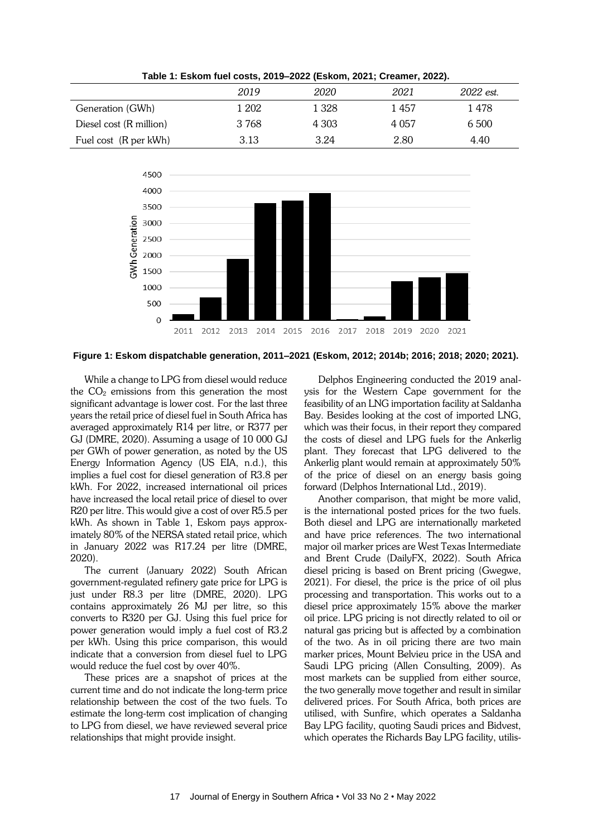|                         | 2019  | 2020    | 2021    | 2022 est. |
|-------------------------|-------|---------|---------|-----------|
| Generation (GWh)        | 1 202 | 1 328   | 1 457   | 1 478     |
| Diesel cost (R million) | 3768  | 4 3 0 3 | 4 0 5 7 | 6 500     |
| Fuel cost (R per kWh)   | 3.13  | 3.24    | 2.80    | 4.40      |

**Table 1: Eskom fuel costs, 2019–2022 (Eskom, 2021; Creamer, 2022).**



**Figure 1: Eskom dispatchable generation, 2011–2021 (Eskom, 2012; 2014b; 2016; 2018; 2020; 2021).**

While a change to LPG from diesel would reduce the  $CO<sub>2</sub>$  emissions from this generation the most significant advantage is lower cost. For the last three years the retail price of diesel fuel in South Africa has averaged approximately R14 per litre, or R377 per GJ (DMRE, 2020). Assuming a usage of 10 000 GJ per GWh of power generation, as noted by the US Energy Information Agency (US EIA, n.d.), this implies a fuel cost for diesel generation of R3.8 per kWh. For 2022, increased international oil prices have increased the local retail price of diesel to over R20 per litre. This would give a cost of over R5.5 per kWh. As shown in Table 1, Eskom pays approximately 80% of the NERSA stated retail price, which in January 2022 was R17.24 per litre (DMRE, 2020).

The current (January 2022) South African government-regulated refinery gate price for LPG is just under R8.3 per litre (DMRE, 2020). LPG contains approximately 26 MJ per litre, so this converts to R320 per GJ. Using this fuel price for power generation would imply a fuel cost of R3.2 per kWh. Using this price comparison, this would indicate that a conversion from diesel fuel to LPG would reduce the fuel cost by over 40%.

These prices are a snapshot of prices at the current time and do not indicate the long-term price relationship between the cost of the two fuels. To estimate the long-term cost implication of changing to LPG from diesel, we have reviewed several price relationships that might provide insight.

Delphos Engineering conducted the 2019 analysis for the Western Cape government for the feasibility of an LNG importation facility at Saldanha Bay. Besides looking at the cost of imported LNG, which was their focus, in their report they compared the costs of diesel and LPG fuels for the Ankerlig plant. They forecast that LPG delivered to the Ankerlig plant would remain at approximately 50% of the price of diesel on an energy basis going forward (Delphos International Ltd., 2019).

Another comparison, that might be more valid, is the international posted prices for the two fuels. Both diesel and LPG are internationally marketed and have price references. The two international major oil marker prices are West Texas Intermediate and Brent Crude (DailyFX, 2022). South Africa diesel pricing is based on Brent pricing (Gwegwe, 2021). For diesel, the price is the price of oil plus processing and transportation. This works out to a diesel price approximately 15% above the marker oil price. LPG pricing is not directly related to oil or natural gas pricing but is affected by a combination of the two. As in oil pricing there are two main marker prices, Mount Belvieu price in the USA and Saudi LPG pricing (Allen Consulting, 2009). As most markets can be supplied from either source, the two generally move together and result in similar delivered prices. For South Africa, both prices are utilised, with Sunfire, which operates a Saldanha Bay LPG facility, quoting Saudi prices and Bidvest, which operates the Richards Bay LPG facility, utilis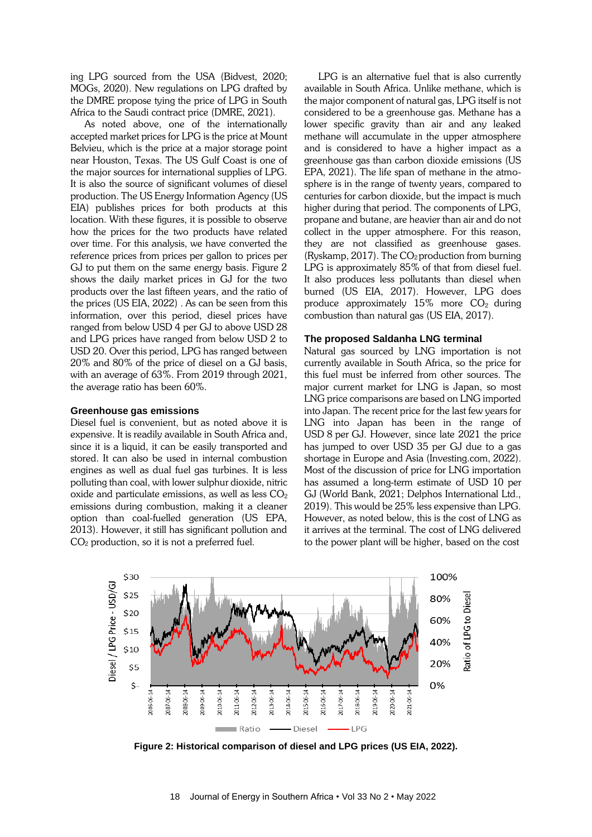ing LPG sourced from the USA (Bidvest, 2020; MOGs, 2020). New regulations on LPG drafted by the DMRE propose tying the price of LPG in South Africa to the Saudi contract price (DMRE, 2021).

As noted above, one of the internationally accepted market prices for LPG is the price at Mount Belvieu, which is the price at a major storage point near Houston, Texas. The US Gulf Coast is one of the major sources for international supplies of LPG. It is also the source of significant volumes of diesel production. The US Energy Information Agency (US EIA) publishes prices for both products at this location. With these figures, it is possible to observe how the prices for the two products have related over time. For this analysis, we have converted the reference prices from prices per gallon to prices per GJ to put them on the same energy basis. Figure 2 shows the daily market prices in GJ for the two products over the last fifteen years, and the ratio of the prices (US EIA, 2022) . As can be seen from this information, over this period, diesel prices have ranged from below USD 4 per GJ to above USD 28 and LPG prices have ranged from below USD 2 to USD 20. Over this period, LPG has ranged between 20% and 80% of the price of diesel on a GJ basis, with an average of 63%. From 2019 through 2021, the average ratio has been 60%.

#### **Greenhouse gas emissions**

Diesel fuel is convenient, but as noted above it is expensive. It is readily available in South Africa and, since it is a liquid, it can be easily transported and stored. It can also be used in internal combustion engines as well as dual fuel gas turbines. It is less polluting than coal, with lower sulphur dioxide, nitric oxide and particulate emissions, as well as less  $CO<sub>2</sub>$ emissions during combustion, making it a cleaner option than coal-fuelled generation (US EPA, 2013). However, it still has significant pollution and CO<sup>2</sup> production, so it is not a preferred fuel.

LPG is an alternative fuel that is also currently available in South Africa. Unlike methane, which is the major component of natural gas, LPG itself is not considered to be a greenhouse gas. Methane has a lower specific gravity than air and any leaked methane will accumulate in the upper atmosphere and is considered to have a higher impact as a greenhouse gas than carbon dioxide emissions (US EPA, 2021). The life span of methane in the atmosphere is in the range of twenty years, compared to centuries for carbon dioxide, but the impact is much higher during that period. The components of LPG, propane and butane, are heavier than air and do not collect in the upper atmosphere. For this reason, they are not classified as greenhouse gases. (Ryskamp, 2017). The  $CO<sub>2</sub>$  production from burning LPG is approximately 85% of that from diesel fuel. It also produces less pollutants than diesel when burned (US EIA, 2017). However, LPG does produce approximately  $15\%$  more  $CO<sub>2</sub>$  during combustion than natural gas (US EIA, 2017).

#### **The proposed Saldanha LNG terminal**

Natural gas sourced by LNG importation is not currently available in South Africa, so the price for this fuel must be inferred from other sources. The major current market for LNG is Japan, so most LNG price comparisons are based on LNG imported into Japan. The recent price for the last few years for LNG into Japan has been in the range of USD 8 per GJ. However, since late 2021 the price has jumped to over USD 35 per GJ due to a gas shortage in Europe and Asia (Investing.com, 2022). Most of the discussion of price for LNG importation has assumed a long-term estimate of USD 10 per GJ (World Bank, 2021; Delphos International Ltd., 2019). This would be 25% less expensive than LPG. However, as noted below, this is the cost of LNG as it arrives at the terminal. The cost of LNG delivered to the power plant will be higher, based on the cost



**Figure 2: Historical comparison of diesel and LPG prices (US EIA, 2022).**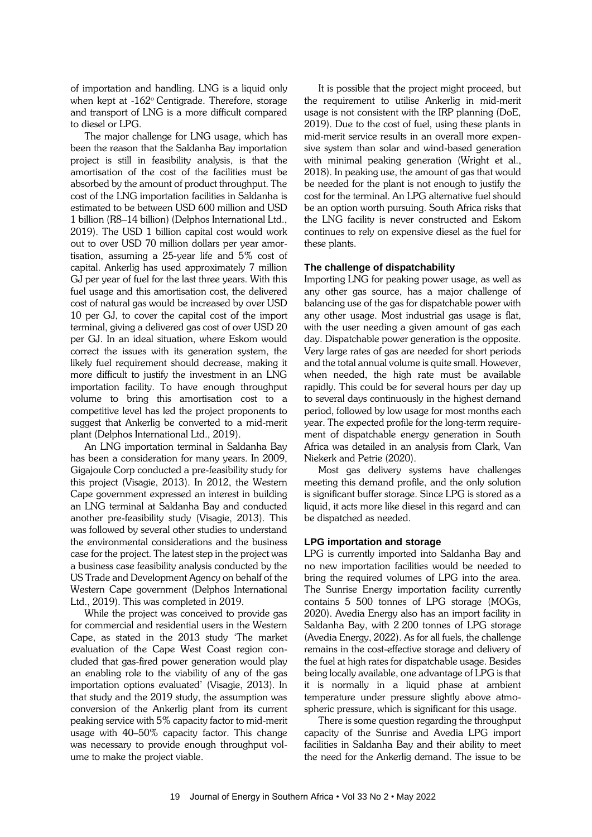of importation and handling. LNG is a liquid only when kept at -162° Centigrade. Therefore, storage and transport of LNG is a more difficult compared to diesel or LPG.

The major challenge for LNG usage, which has been the reason that the Saldanha Bay importation project is still in feasibility analysis, is that the amortisation of the cost of the facilities must be absorbed by the amount of product throughput. The cost of the LNG importation facilities in Saldanha is estimated to be between USD 600 million and USD 1 billion (R8–14 billion) (Delphos International Ltd., 2019). The USD 1 billion capital cost would work out to over USD 70 million dollars per year amortisation, assuming a 25-year life and 5% cost of capital. Ankerlig has used approximately 7 million GJ per year of fuel for the last three years. With this fuel usage and this amortisation cost, the delivered cost of natural gas would be increased by over USD 10 per GJ, to cover the capital cost of the import terminal, giving a delivered gas cost of over USD 20 per GJ. In an ideal situation, where Eskom would correct the issues with its generation system, the likely fuel requirement should decrease, making it more difficult to justify the investment in an LNG importation facility. To have enough throughput volume to bring this amortisation cost to a competitive level has led the project proponents to suggest that Ankerlig be converted to a mid-merit plant (Delphos International Ltd., 2019).

An LNG importation terminal in Saldanha Bay has been a consideration for many years. In 2009, Gigajoule Corp conducted a pre-feasibility study for this project (Visagie, 2013). In 2012, the Western Cape government expressed an interest in building an LNG terminal at Saldanha Bay and conducted another pre-feasibility study (Visagie, 2013). This was followed by several other studies to understand the environmental considerations and the business case for the project. The latest step in the project was a business case feasibility analysis conducted by the US Trade and Development Agency on behalf of the Western Cape government (Delphos International Ltd., 2019). This was completed in 2019.

While the project was conceived to provide gas for commercial and residential users in the Western Cape, as stated in the 2013 study 'The market evaluation of the Cape West Coast region concluded that gas-fired power generation would play an enabling role to the viability of any of the gas importation options evaluated' (Visagie, 2013). In that study and the 2019 study, the assumption was conversion of the Ankerlig plant from its current peaking service with 5% capacity factor to mid-merit usage with 40–50% capacity factor. This change was necessary to provide enough throughput volume to make the project viable.

It is possible that the project might proceed, but the requirement to utilise Ankerlig in mid-merit usage is not consistent with the IRP planning (DoE, 2019). Due to the cost of fuel, using these plants in mid-merit service results in an overall more expensive system than solar and wind-based generation with minimal peaking generation (Wright et al., 2018). In peaking use, the amount of gas that would be needed for the plant is not enough to justify the cost for the terminal. An LPG alternative fuel should be an option worth pursuing. South Africa risks that the LNG facility is never constructed and Eskom continues to rely on expensive diesel as the fuel for these plants.

# **The challenge of dispatchability**

Importing LNG for peaking power usage, as well as any other gas source, has a major challenge of balancing use of the gas for dispatchable power with any other usage. Most industrial gas usage is flat, with the user needing a given amount of gas each day. Dispatchable power generation is the opposite. Very large rates of gas are needed for short periods and the total annual volume is quite small. However, when needed, the high rate must be available rapidly. This could be for several hours per day up to several days continuously in the highest demand period, followed by low usage for most months each year. The expected profile for the long-term requirement of dispatchable energy generation in South Africa was detailed in an analysis from Clark, Van Niekerk and Petrie (2020).

Most gas delivery systems have challenges meeting this demand profile, and the only solution is significant buffer storage. Since LPG is stored as a liquid, it acts more like diesel in this regard and can be dispatched as needed.

# **LPG importation and storage**

LPG is currently imported into Saldanha Bay and no new importation facilities would be needed to bring the required volumes of LPG into the area. The Sunrise Energy importation facility currently contains 5 500 tonnes of LPG storage (MOGs, 2020). Avedia Energy also has an import facility in Saldanha Bay, with 2 200 tonnes of LPG storage (Avedia Energy, 2022). As for all fuels, the challenge remains in the cost-effective storage and delivery of the fuel at high rates for dispatchable usage. Besides being locally available, one advantage of LPG is that it is normally in a liquid phase at ambient temperature under pressure slightly above atmospheric pressure, which is significant for this usage.

There is some question regarding the throughput capacity of the Sunrise and Avedia LPG import facilities in Saldanha Bay and their ability to meet the need for the Ankerlig demand. The issue to be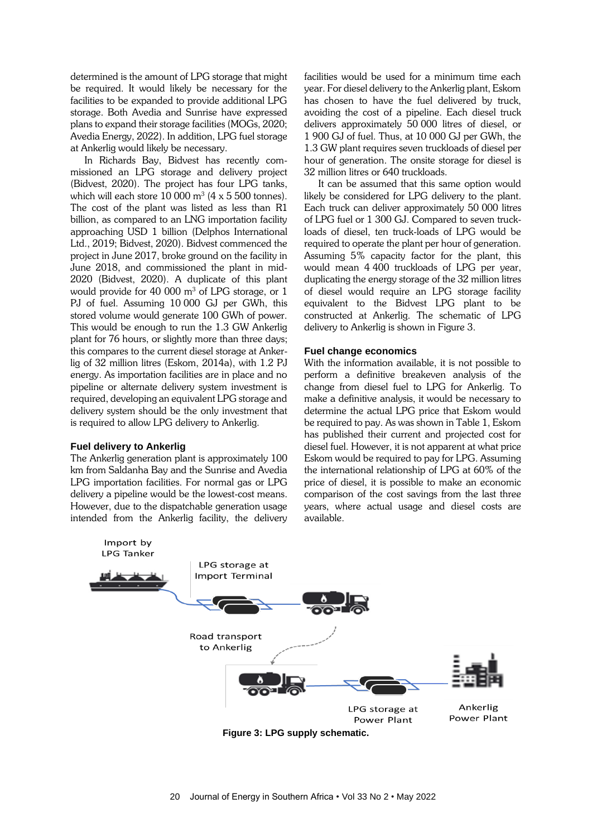determined is the amount of LPG storage that might be required. It would likely be necessary for the facilities to be expanded to provide additional LPG storage. Both Avedia and Sunrise have expressed plans to expand their storage facilities (MOGs, 2020; Avedia Energy, 2022). In addition, LPG fuel storage at Ankerlig would likely be necessary.

In Richards Bay, Bidvest has recently commissioned an LPG storage and delivery project (Bidvest, 2020). The project has four LPG tanks, which will each store  $10\ 000$  m $^3$  (4 x 5 500 tonnes). The cost of the plant was listed as less than R1 billion, as compared to an LNG importation facility approaching USD 1 billion (Delphos International Ltd., 2019; Bidvest, 2020). Bidvest commenced the project in June 2017, broke ground on the facility in June 2018, and commissioned the plant in mid-2020 (Bidvest, 2020). A duplicate of this plant would provide for 40 000  $\mathrm{m}^3$  of LPG storage, or 1 PJ of fuel. Assuming 10 000 GJ per GWh, this stored volume would generate 100 GWh of power. This would be enough to run the 1.3 GW Ankerlig plant for 76 hours, or slightly more than three days; this compares to the current diesel storage at Ankerlig of 32 million litres (Eskom, 2014a), with 1.2 PJ energy. As importation facilities are in place and no pipeline or alternate delivery system investment is required, developing an equivalent LPG storage and delivery system should be the only investment that is required to allow LPG delivery to Ankerlig.

#### **Fuel delivery to Ankerlig**

Import by

The Ankerlig generation plant is approximately 100 km from Saldanha Bay and the Sunrise and Avedia LPG importation facilities. For normal gas or LPG delivery a pipeline would be the lowest-cost means. However, due to the dispatchable generation usage intended from the Ankerlig facility, the delivery facilities would be used for a minimum time each year. For diesel delivery to the Ankerlig plant, Eskom has chosen to have the fuel delivered by truck, avoiding the cost of a pipeline. Each diesel truck delivers approximately 50 000 litres of diesel, or 1 900 GJ of fuel. Thus, at 10 000 GJ per GWh, the 1.3 GW plant requires seven truckloads of diesel per hour of generation. The onsite storage for diesel is 32 million litres or 640 truckloads.

It can be assumed that this same option would likely be considered for LPG delivery to the plant. Each truck can deliver approximately 50 000 litres of LPG fuel or 1 300 GJ. Compared to seven truckloads of diesel, ten truck-loads of LPG would be required to operate the plant per hour of generation. Assuming 5% capacity factor for the plant, this would mean 4 400 truckloads of LPG per year, duplicating the energy storage of the 32 million litres of diesel would require an LPG storage facility equivalent to the Bidvest LPG plant to be constructed at Ankerlig. The schematic of LPG delivery to Ankerlig is shown in Figure 3.

#### **Fuel change economics**

With the information available, it is not possible to perform a definitive breakeven analysis of the change from diesel fuel to LPG for Ankerlig. To make a definitive analysis, it would be necessary to determine the actual LPG price that Eskom would be required to pay. As was shown in Table 1, Eskom has published their current and projected cost for diesel fuel. However, it is not apparent at what price Eskom would be required to pay for LPG. Assuming the international relationship of LPG at 60% of the price of diesel, it is possible to make an economic comparison of the cost savings from the last three years, where actual usage and diesel costs are available.

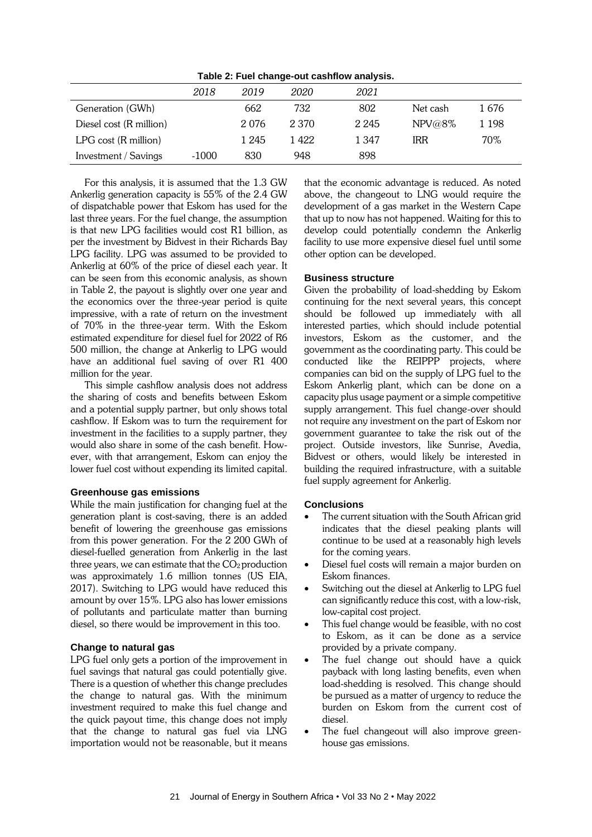**Table 2: Fuel change-out cashflow analysis.**

|                          | 2018    | 2019  | 2020    | 2021    |            |       |
|--------------------------|---------|-------|---------|---------|------------|-------|
| Generation (GWh)         |         | 662   | 732     | 802     | Net cash   | 1 676 |
| Diesel cost (R million)  |         | 2076  | 2 3 7 0 | 2 2 4 5 | NPV@8%     | 1 198 |
| $LPG$ cost $(R$ million) |         | 1 245 | 1 422   | 1 347   | <b>IRR</b> | 70%   |
| Investment / Savings     | $-1000$ | 830   | 948     | 898     |            |       |

For this analysis, it is assumed that the 1.3 GW Ankerlig generation capacity is 55% of the 2.4 GW of dispatchable power that Eskom has used for the last three years. For the fuel change, the assumption is that new LPG facilities would cost R1 billion, as per the investment by Bidvest in their Richards Bay LPG facility. LPG was assumed to be provided to Ankerlig at 60% of the price of diesel each year. It can be seen from this economic analysis, as shown in Table 2, the payout is slightly over one year and the economics over the three-year period is quite impressive, with a rate of return on the investment of 70% in the three-year term. With the Eskom estimated expenditure for diesel fuel for 2022 of R6 500 million, the change at Ankerlig to LPG would have an additional fuel saving of over R1 400 million for the year.

This simple cashflow analysis does not address the sharing of costs and benefits between Eskom and a potential supply partner, but only shows total cashflow. If Eskom was to turn the requirement for investment in the facilities to a supply partner, they would also share in some of the cash benefit. However, with that arrangement, Eskom can enjoy the lower fuel cost without expending its limited capital.

#### **Greenhouse gas emissions**

While the main justification for changing fuel at the generation plant is cost-saving, there is an added benefit of lowering the greenhouse gas emissions from this power generation. For the 2 200 GWh of diesel-fuelled generation from Ankerlig in the last three years, we can estimate that the  $CO<sub>2</sub>$  production was approximately 1.6 million tonnes (US EIA, 2017). Switching to LPG would have reduced this amount by over 15%. LPG also has lower emissions of pollutants and particulate matter than burning diesel, so there would be improvement in this too.

#### **Change to natural gas**

LPG fuel only gets a portion of the improvement in fuel savings that natural gas could potentially give. There is a question of whether this change precludes the change to natural gas. With the minimum investment required to make this fuel change and the quick payout time, this change does not imply that the change to natural gas fuel via LNG importation would not be reasonable, but it means

that the economic advantage is reduced. As noted above, the changeout to LNG would require the development of a gas market in the Western Cape that up to now has not happened. Waiting for this to develop could potentially condemn the Ankerlig facility to use more expensive diesel fuel until some other option can be developed.

# **Business structure**

Given the probability of load-shedding by Eskom continuing for the next several years, this concept should be followed up immediately with all interested parties, which should include potential investors, Eskom as the customer, and the government as the coordinating party. This could be conducted like the REIPPP projects, where companies can bid on the supply of LPG fuel to the Eskom Ankerlig plant, which can be done on a capacity plus usage payment or a simple competitive supply arrangement. This fuel change-over should not require any investment on the part of Eskom nor government guarantee to take the risk out of the project. Outside investors, like Sunrise, Avedia, Bidvest or others, would likely be interested in building the required infrastructure, with a suitable fuel supply agreement for Ankerlig.

#### **Conclusions**

- The current situation with the South African grid indicates that the diesel peaking plants will continue to be used at a reasonably high levels for the coming years.
- Diesel fuel costs will remain a major burden on Eskom finances.
- Switching out the diesel at Ankerlig to LPG fuel can significantly reduce this cost, with a low-risk, low-capital cost project.
- This fuel change would be feasible, with no cost to Eskom, as it can be done as a service provided by a private company.
- The fuel change out should have a quick payback with long lasting benefits, even when load-shedding is resolved. This change should be pursued as a matter of urgency to reduce the burden on Eskom from the current cost of diesel.
- The fuel changeout will also improve greenhouse gas emissions.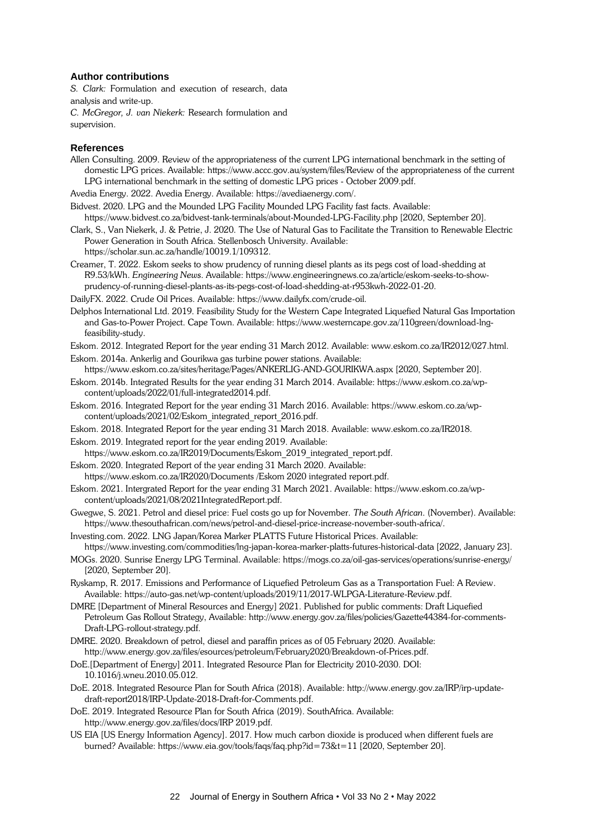#### **Author contributions**

*S. Clark:* Formulation and execution of research, data analysis and write-up.

*C. McGregor, J. van Niekerk:* Research formulation and supervision.

# **References**

Allen Consulting. 2009. Review of the appropriateness of the current LPG international benchmark in the setting of domestic LPG prices. Available: https://www.accc.gov.au/system/files/Review of the appropriateness of the current LPG international benchmark in the setting of domestic LPG prices - October 2009.pdf.

Avedia Energy. 2022. Avedia Energy. Available: https://avediaenergy.com/.

- Bidvest. 2020. LPG and the Mounded LPG Facility Mounded LPG Facility fast facts. Available: https://www.bidvest.co.za/bidvest-tank-terminals/about-Mounded-LPG-Facility.php [2020, September 20].
- Clark, S., Van Niekerk, J. & Petrie, J. 2020. The Use of Natural Gas to Facilitate the Transition to Renewable Electric Power Generation in South Africa. Stellenbosch University. Available: https://scholar.sun.ac.za/handle/10019.1/109312.
- Creamer, T. 2022. Eskom seeks to show prudency of running diesel plants as its pegs cost of load-shedding at R9.53/kWh. *Engineering News*. Available: https://www.engineeringnews.co.za/article/eskom-seeks-to-showprudency-of-running-diesel-plants-as-its-pegs-cost-of-load-shedding-at-r953kwh-2022-01-20.
- DailyFX. 2022. Crude Oil Prices. Available: https://www.dailyfx.com/crude-oil.
- Delphos International Ltd. 2019. Feasibility Study for the Western Cape Integrated Liquefied Natural Gas Importation and Gas-to-Power Project. Cape Town. Available: https://www.westerncape.gov.za/110green/download-lngfeasibility-study.
- Eskom. 2012. Integrated Report for the year ending 31 March 2012. Available: www.eskom.co.za/IR2012/027.html.

Eskom. 2014a. Ankerlig and Gourikwa gas turbine power stations. Available:

https://www.eskom.co.za/sites/heritage/Pages/ANKERLIG-AND-GOURIKWA.aspx [2020, September 20].

- Eskom. 2014b. Integrated Results for the year ending 31 March 2014. Available: https://www.eskom.co.za/wpcontent/uploads/2022/01/full-integrated2014.pdf.
- Eskom. 2016. Integrated Report for the year ending 31 March 2016. Available: https://www.eskom.co.za/wpcontent/uploads/2021/02/Eskom\_integrated\_report\_2016.pdf.
- Eskom. 2018. Integrated Report for the year ending 31 March 2018. Available: www.eskom.co.za/IR2018.

Eskom. 2019. Integrated report for the year ending 2019. Available:

- https://www.eskom.co.za/IR2019/Documents/Eskom\_2019\_integrated\_report.pdf.
- Eskom. 2020. Integrated Report of the year ending 31 March 2020. Available:
- https://www.eskom.co.za/IR2020/Documents /Eskom 2020 integrated report.pdf.
- Eskom. 2021. Intergrated Report for the year ending 31 March 2021. Available: https://www.eskom.co.za/wpcontent/uploads/2021/08/2021IntegratedReport.pdf.
- Gwegwe, S. 2021. Petrol and diesel price: Fuel costs go up for November. *The South African*. (November). Available: https://www.thesouthafrican.com/news/petrol-and-diesel-price-increase-november-south-africa/.

Investing.com. 2022. LNG Japan/Korea Marker PLATTS Future Historical Prices. Available:

- https://www.investing.com/commodities/lng-japan-korea-marker-platts-futures-historical-data [2022, January 23]. MOGs. 2020. Sunrise Energy LPG Terminal. Available: https://mogs.co.za/oil-gas-services/operations/sunrise-energy/
- [2020, September 20].
- Ryskamp, R. 2017. Emissions and Performance of Liquefied Petroleum Gas as a Transportation Fuel: A Review. Available: https://auto-gas.net/wp-content/uploads/2019/11/2017-WLPGA-Literature-Review.pdf.
- DMRE [Department of Mineral Resources and Energy] 2021. Published for public comments: Draft Liquefied Petroleum Gas Rollout Strategy, Available: http://www.energy.gov.za/files/policies/Gazette44384-for-comments-Draft-LPG-rollout-strategy.pdf.
- DMRE. 2020. Breakdown of petrol, diesel and paraffin prices as of 05 February 2020. Available: http://www.energy.gov.za/files/esources/petroleum/February2020/Breakdown-of-Prices.pdf.
- DoE.[Department of Energy] 2011. Integrated Resource Plan for Electricity 2010-2030. DOI: 10.1016/j.wneu.2010.05.012.
- DoE. 2018. Integrated Resource Plan for South Africa (2018). Available: http://www.energy.gov.za/IRP/irp-updatedraft-report2018/IRP-Update-2018-Draft-for-Comments.pdf.
- DoE. 2019. Integrated Resource Plan for South Africa (2019). SouthAfrica. Available: http://www.energy.gov.za/files/docs/IRP 2019.pdf.
- US EIA [US Energy Information Agency]. 2017. How much carbon dioxide is produced when different fuels are burned? Available: https://www.eia.gov/tools/faqs/faq.php?id=73&t=11 [2020, September 20].